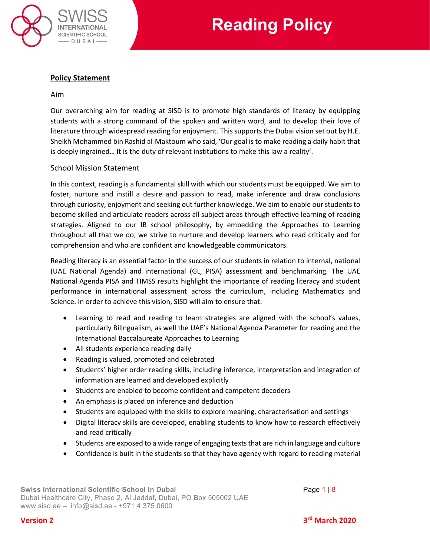

# **Policy Statement**

### Aim

Our overarching aim for reading at SISD is to promote high standards of literacy by equipping students with a strong command of the spoken and written word, and to develop their love of literature through widespread reading for enjoyment. This supports the Dubai vision set out by H.E. Sheikh Mohammed bin Rashid al-Maktoum who said, 'Our goal is to make reading a daily habit that is deeply ingrained… It is the duty of relevant institutions to make this law a reality'.

## School Mission Statement

In this context, reading is a fundamental skill with which our students must be equipped. We aim to foster, nurture and instill a desire and passion to read, make inference and draw conclusions through curiosity, enjoyment and seeking out further knowledge. We aim to enable our students to become skilled and articulate readers across all subject areas through effective learning of reading strategies. Aligned to our IB school philosophy, by embedding the Approaches to Learning throughout all that we do, we strive to nurture and develop learners who read critically and for comprehension and who are confident and knowledgeable communicators.

Reading literacy is an essential factor in the success of our students in relation to internal, national (UAE National Agenda) and international (GL, PISA) assessment and benchmarking. The UAE National Agenda PISA and TIMSS results highlight the importance of reading literacy and student performance in international assessment across the curriculum, including Mathematics and Science. In order to achieve this vision, SISD will aim to ensure that:

- Learning to read and reading to learn strategies are aligned with the school's values, particularly Bilingualism, as well the UAE's National Agenda Parameter for reading and the International Baccalaureate Approaches to Learning
- All students experience reading daily
- Reading is valued, promoted and celebrated
- Students' higher order reading skills, including inference, interpretation and integration of information are learned and developed explicitly
- Students are enabled to become confident and competent decoders
- An emphasis is placed on inference and deduction
- Students are equipped with the skills to explore meaning, characterisation and settings
- Digital literacy skills are developed, enabling students to know how to research effectively and read critically
- Students are exposed to a wide range of engaging texts that are rich in language and culture
- Confidence is built in the students so that they have agency with regard to reading material

**Swiss International Scientific School in Dubai** Page 1 | 8 Dubai Healthcare City, Phase 2, Al Jaddaf, Dubai, PO Box 505002 UAE [www.sisd.ae](http://www.sisd.ae/) – [info@sisd.ae](mailto:info@sisd.ae) - +971 4 375 0600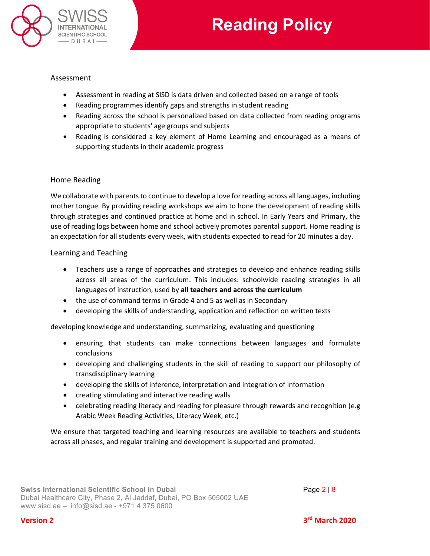

### Assessment

- Assessment in reading at SISD is data driven and collected based on a range of tools
- Reading programmes identify gaps and strengths in student reading
- Reading across the school is personalized based on data collected from reading programs appropriate to students' age groups and subjects
- Reading is considered a key element of Home Learning and encouraged as a means of supporting students in their academic progress

## Home Reading

We collaborate with parents to continue to develop a love for reading across all languages, including mother tongue. By providing reading workshops we aim to hone the development of reading skills through strategies and continued practice at home and in school. In Early Years and Primary, the use of reading logs between home and school actively promotes parental support. Home reading is an expectation for all students every week, with students expected to read for 20 minutes a day.

### Learning and Teaching

- Teachers use a range of approaches and strategies to develop and enhance reading skills across all areas of the curriculum. This includes: schoolwide reading strategies in all languages of instruction, used by **all teachers and across the curriculum**
- the use of command terms in Grade 4 and 5 as well as in Secondary
- developing the skills of understanding, application and reflection on written texts

developing knowledge and understanding, summarizing, evaluating and questioning

- ensuring that students can make connections between languages and formulate conclusions
- developing and challenging students in the skill of reading to support our philosophy of transdisciplinary learning
- developing the skills of inference, interpretation and integration of information
- creating stimulating and interactive reading walls
- celebrating reading literacy and reading for pleasure through rewards and recognition (e.g. Arabic Week Reading Activities, Literacy Week, etc.)

We ensure that targeted teaching and learning resources are available to teachers and students across all phases, and regular training and development is supported and promoted.

# **Version 2 3rd March 2020**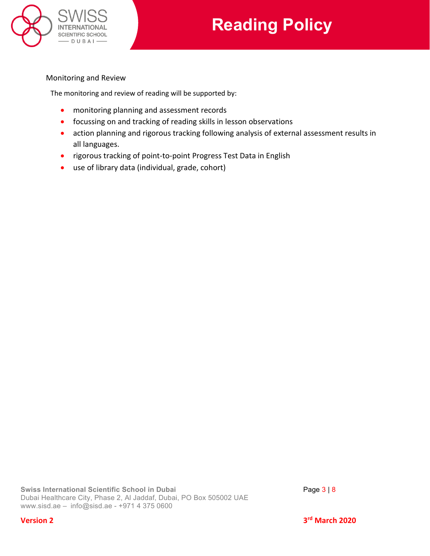

# Monitoring and Review

The monitoring and review of reading will be supported by:

- monitoring planning and assessment records
- focussing on and tracking of reading skills in lesson observations
- action planning and rigorous tracking following analysis of external assessment results in all languages.
- rigorous tracking of point-to-point Progress Test Data in English
- use of library data (individual, grade, cohort)

**Version 2 3rd March 2020**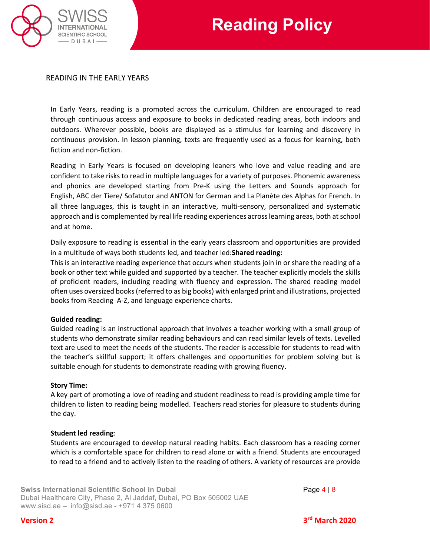

## READING IN THE EARLY YEARS

In Early Years, reading is a promoted across the curriculum. Children are encouraged to read through continuous access and exposure to books in dedicated reading areas, both indoors and outdoors. Wherever possible, books are displayed as a stimulus for learning and discovery in continuous provision. In lesson planning, texts are frequently used as a focus for learning, both fiction and non-fiction.

Reading in Early Years is focused on developing leaners who love and value reading and are confident to take risks to read in multiple languages for a variety of purposes. Phonemic awareness and phonics are developed starting from Pre-K using the Letters and Sounds approach for English, ABC der Tiere/ Sofatutor and ANTON for German and La Planète des Alphas for French. In all three languages, this is taught in an interactive, multi-sensory, personalized and systematic approach and is complemented by real life reading experiences across learning areas, both at school and at home.

Daily exposure to reading is essential in the early years classroom and opportunities are provided in a multitude of ways both students led, and teacher led:**Shared reading:**

This is an interactive reading experience that occurs when students join in or share the reading of a book or other text while guided and supported by a teacher. The teacher explicitly models the skills of proficient readers, including reading with fluency and expression. The shared reading model often uses oversized books (referred to as big books) with enlarged print and illustrations, projected books from Reading A-Z, and language experience charts.

### **Guided reading:**

Guided reading is an instructional approach that involves a teacher working with a small group of students who demonstrate similar reading behaviours and can read similar levels of texts. Levelled text are used to meet the needs of the students. The reader is accessible for students to read with the teacher's skillful support; it offers challenges and opportunities for problem solving but is suitable enough for students to demonstrate reading with growing fluency.

#### **Story Time:**

A key part of promoting a love of reading and student readiness to read is providing ample time for children to listen to reading being modelled. Teachers read stories for pleasure to students during the day.

#### **Student led reading**:

Students are encouraged to develop natural reading habits. Each classroom has a reading corner which is a comfortable space for children to read alone or with a friend. Students are encouraged to read to a friend and to actively listen to the reading of others. A variety of resources are provide

**Swiss International Scientific School in Dubai** Page 4 | 8 Dubai Healthcare City, Phase 2, Al Jaddaf, Dubai, PO Box 505002 UAE [www.sisd.ae](http://www.sisd.ae/) – [info@sisd.ae](mailto:info@sisd.ae) - +971 4 375 0600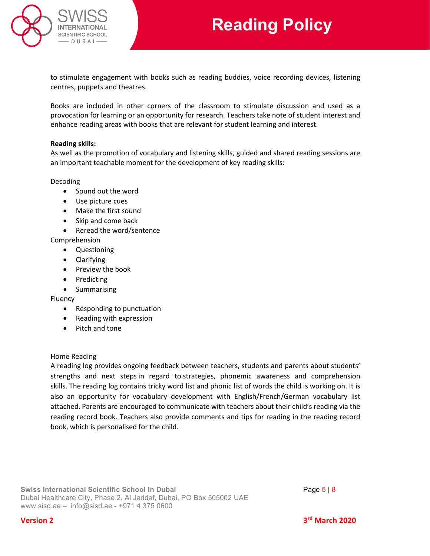

to stimulate engagement with books such as reading buddies, voice recording devices, listening centres, puppets and theatres.

Books are included in other corners of the classroom to stimulate discussion and used as a provocation for learning or an opportunity for research. Teachers take note of student interest and enhance reading areas with books that are relevant for student learning and interest.

### **Reading skills:**

As well as the promotion of vocabulary and listening skills, guided and shared reading sessions are an important teachable moment for the development of key reading skills:

### Decoding

- Sound out the word
- Use picture cues
- Make the first sound
- Skip and come back
- Reread the word/sentence

### Comprehension

- Questioning
- Clarifying
- Preview the book
- Predicting
- Summarising

Fluency

- Responding to punctuation
- Reading with expression
- Pitch and tone

### Home Reading

A reading log provides ongoing feedback between teachers, students and parents about students' strengths and next steps in regard to strategies, phonemic awareness and comprehension skills. The reading log contains tricky word list and phonic list of words the child is working on. It is also an opportunity for vocabulary development with English/French/German vocabulary list attached. Parents are encouraged to communicate with teachers about their child's reading via the reading record book. Teachers also provide comments and tips for reading in the reading record book, which is personalised for the child.

**Swiss International Scientific School in Dubai Page 5 | 8 Page 5 | 8** Dubai Healthcare City, Phase 2, Al Jaddaf, Dubai, PO Box 505002 UAE [www.sisd.ae](http://www.sisd.ae/) – [info@sisd.ae](mailto:info@sisd.ae) - +971 4 375 0600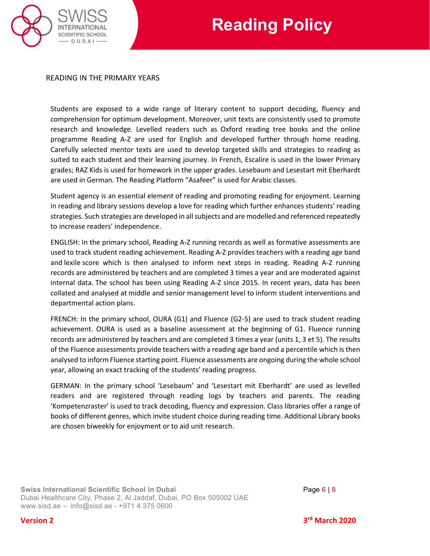

## READING IN THE PRIMARY YEARS

Students are exposed to a wide range of literary content to support decoding, fluency and comprehension for optimum development. Moreover, unit texts are consistently used to promote research and knowledge. Levelled readers such as Oxford reading tree books and the online programme Reading A-Z are used for English and developed further through home reading. Carefully selected mentor texts are used to develop targeted skills and strategies to reading as suited to each student and their learning journey. In French, Escalire is used in the lower Primary grades; RAZ Kids is used for homework in the upper grades. Lesebaum and Lesestart mit Eberhardt are used in German. The Reading Platform "Asafeer" is used for Arabic classes.

Student agency is an essential element of reading and promoting reading for enjoyment. Learning in reading and library sessions develop a love for reading which further enhances students' reading strategies. Such strategies are developed in all subjects and are modelled and referenced repeatedly to increase readers' independence.

ENGLISH: In the primary school, Reading A-Z running records as well as formative assessments are used to track student reading achievement. Reading A-Z provides teachers with a reading age band and lexile score which is then analysed to inform next steps in reading. Reading A-Z running records are administered by teachers and are completed 3 times a year and are moderated against internal data. The school has been using Reading A-Z since 2015. In recent years, data has been collated and analysed at middle and senior management level to inform student interventions and departmental action plans.

FRENCH: In the primary school, OURA (G1) and Fluence (G2-5) are used to track student reading achievement. OURA is used as a baseline assessment at the beginning of G1. Fluence running records are administered by teachers and are completed 3 times a year (units 1, 3 et 5). The results of the Fluence assessments provide teachers with a reading age band and a percentile which is then analysed to inform Fluence starting point. Fluence assessments are ongoing during the whole school year, allowing an exact tracking of the students' reading progress.

GERMAN: In the primary school 'Lesebaum' and 'Lesestart mit Eberhardt' are used as levelled readers and are registered through reading logs by teachers and parents. The reading 'Kompetenzraster' is used to track decoding, fluency and expression. Class libraries offer a range of books of different genres, which invite student choice during reading time. Additional Library books are chosen biweekly for enjoyment or to aid unit research.

**Swiss International Scientific School in Dubai Page 6 | 8 Page 6 | 8** Dubai Healthcare City, Phase 2, Al Jaddaf, Dubai, PO Box 505002 UAE [www.sisd.ae](http://www.sisd.ae/) – [info@sisd.ae](mailto:info@sisd.ae) - +971 4 375 0600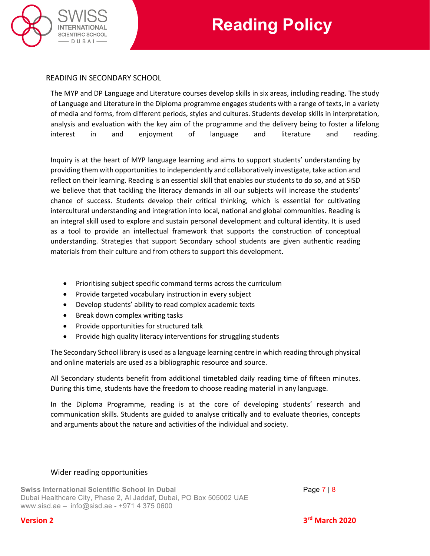

# READING IN SECONDARY SCHOOL

The MYP and DP Language and Literature courses develop skills in six areas, including reading. The study of Language and Literature in the Diploma programme engages students with a range of texts, in a variety of media and forms, from different periods, styles and cultures. Students develop skills in interpretation, analysis and evaluation with the key aim of the programme and the delivery being to foster a lifelong interest in and enjoyment of language and literature and reading.

Inquiry is at the heart of MYP language learning and aims to support students' understanding by providing them with opportunities to independently and collaboratively investigate, take action and reflect on their learning. Reading is an essential skill that enables our students to do so, and at SISD we believe that that tackling the literacy demands in all our subjects will increase the students' chance of success. Students develop their critical thinking, which is essential for cultivating intercultural understanding and integration into local, national and global communities. Reading is an integral skill used to explore and sustain personal development and cultural identity. It is used as a tool to provide an intellectual framework that supports the construction of conceptual understanding. Strategies that support Secondary school students are given authentic reading materials from their culture and from others to support this development.

- Prioritising subject specific command terms across the curriculum
- Provide targeted vocabulary instruction in every subject
- Develop students' ability to read complex academic texts
- Break down complex writing tasks
- Provide opportunities for structured talk
- Provide high quality literacy interventions for struggling students

The Secondary School library is used as a language learning centre in which reading through physical and online materials are used as a bibliographic resource and source.

All Secondary students benefit from additional timetabled daily reading time of fifteen minutes. During this time, students have the freedom to choose reading material in any language.

In the Diploma Programme, reading is at the core of developing students' research and communication skills. Students are guided to analyse critically and to evaluate theories, concepts and arguments about the nature and activities of the individual and society.

## Wider reading opportunities

**Swiss International Scientific School in Dubai** Page 7 | 8 Dubai Healthcare City, Phase 2, Al Jaddaf, Dubai, PO Box 505002 UAE [www.sisd.ae](http://www.sisd.ae/) – [info@sisd.ae](mailto:info@sisd.ae) - +971 4 375 0600

**Version 2 3rd March 2020**